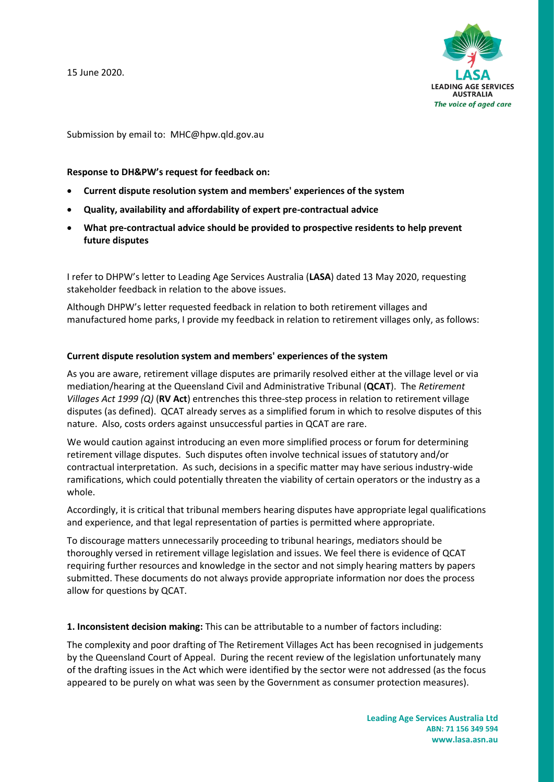15 June 2020.



Submission by email to: [MHC@hpw.qld.gov.au](mailto:MHC@hpw.qld.gov.au)

### **Response to DH&PW's request for feedback on:**

- **Current dispute resolution system and members' experiences of the system**
- **Quality, availability and affordability of expert pre-contractual advice**
- **What pre-contractual advice should be provided to prospective residents to help prevent future disputes**

I refer to DHPW's letter to Leading Age Services Australia (**LASA**) dated 13 May 2020, requesting stakeholder feedback in relation to the above issues.

Although DHPW's letter requested feedback in relation to both retirement villages and manufactured home parks, I provide my feedback in relation to retirement villages only, as follows:

#### **Current dispute resolution system and members' experiences of the system**

As you are aware, retirement village disputes are primarily resolved either at the village level or via mediation/hearing at the Queensland Civil and Administrative Tribunal (**QCAT**). The *Retirement Villages Act 1999 (Q)* (**RV Act**) entrenches this three-step process in relation to retirement village disputes (as defined). QCAT already serves as a simplified forum in which to resolve disputes of this nature. Also, costs orders against unsuccessful parties in QCAT are rare.

We would caution against introducing an even more simplified process or forum for determining retirement village disputes. Such disputes often involve technical issues of statutory and/or contractual interpretation. As such, decisions in a specific matter may have serious industry-wide ramifications, which could potentially threaten the viability of certain operators or the industry as a whole.

Accordingly, it is critical that tribunal members hearing disputes have appropriate legal qualifications and experience, and that legal representation of parties is permitted where appropriate.

To discourage matters unnecessarily proceeding to tribunal hearings, mediators should be thoroughly versed in retirement village legislation and issues. We feel there is evidence of QCAT requiring further resources and knowledge in the sector and not simply hearing matters by papers submitted. These documents do not always provide appropriate information nor does the process allow for questions by QCAT.

**1. Inconsistent decision making:** This can be attributable to a number of factors including:

The complexity and poor drafting of The Retirement Villages Act has been recognised in judgements by the Queensland Court of Appeal. During the recent review of the legislation unfortunately many of the drafting issues in the Act which were identified by the sector were not addressed (as the focus appeared to be purely on what was seen by the Government as consumer protection measures).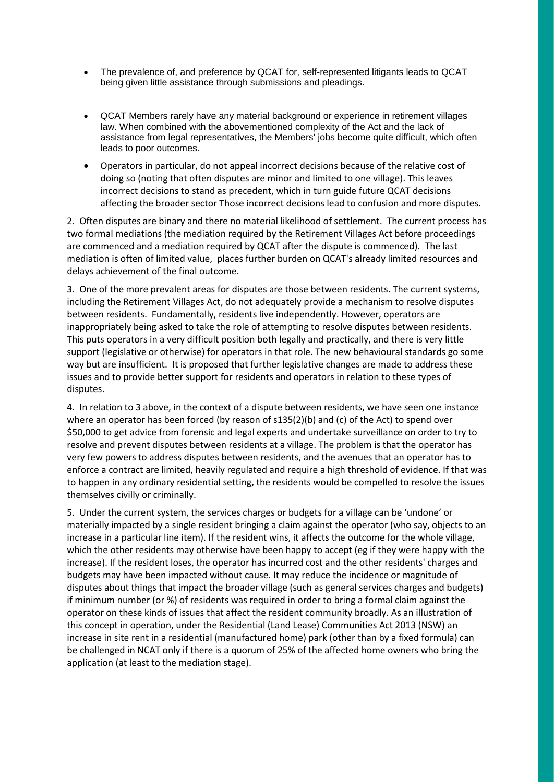- The prevalence of, and preference by QCAT for, self-represented litigants leads to QCAT being given little assistance through submissions and pleadings.
- QCAT Members rarely have any material background or experience in retirement villages law. When combined with the abovementioned complexity of the Act and the lack of assistance from legal representatives, the Members' jobs become quite difficult, which often leads to poor outcomes.
- Operators in particular, do not appeal incorrect decisions because of the relative cost of doing so (noting that often disputes are minor and limited to one village). This leaves incorrect decisions to stand as precedent, which in turn guide future QCAT decisions affecting the broader sector Those incorrect decisions lead to confusion and more disputes.

2. Often disputes are binary and there no material likelihood of settlement. The current process has two formal mediations (the mediation required by the Retirement Villages Act before proceedings are commenced and a mediation required by QCAT after the dispute is commenced). The last mediation is often of limited value, places further burden on QCAT's already limited resources and delays achievement of the final outcome.

3. One of the more prevalent areas for disputes are those between residents. The current systems, including the Retirement Villages Act, do not adequately provide a mechanism to resolve disputes between residents. Fundamentally, residents live independently. However, operators are inappropriately being asked to take the role of attempting to resolve disputes between residents. This puts operators in a very difficult position both legally and practically, and there is very little support (legislative or otherwise) for operators in that role. The new behavioural standards go some way but are insufficient. It is proposed that further legislative changes are made to address these issues and to provide better support for residents and operators in relation to these types of disputes.

4. In relation to 3 above, in the context of a dispute between residents, we have seen one instance where an operator has been forced (by reason of  $s135(2)$ (b) and (c) of the Act) to spend over \$50,000 to get advice from forensic and legal experts and undertake surveillance on order to try to resolve and prevent disputes between residents at a village. The problem is that the operator has very few powers to address disputes between residents, and the avenues that an operator has to enforce a contract are limited, heavily regulated and require a high threshold of evidence. If that was to happen in any ordinary residential setting, the residents would be compelled to resolve the issues themselves civilly or criminally.

5*.* Under the current system, the services charges or budgets for a village can be 'undone' or materially impacted by a single resident bringing a claim against the operator (who say, objects to an increase in a particular line item). If the resident wins, it affects the outcome for the whole village, which the other residents may otherwise have been happy to accept (eg if they were happy with the increase). If the resident loses, the operator has incurred cost and the other residents' charges and budgets may have been impacted without cause. It may reduce the incidence or magnitude of disputes about things that impact the broader village (such as general services charges and budgets) if minimum number (or %) of residents was required in order to bring a formal claim against the operator on these kinds of issues that affect the resident community broadly. As an illustration of this concept in operation, under the Residential (Land Lease) Communities Act 2013 (NSW) an increase in site rent in a residential (manufactured home) park (other than by a fixed formula) can be challenged in NCAT only if there is a quorum of 25% of the affected home owners who bring the application (at least to the mediation stage).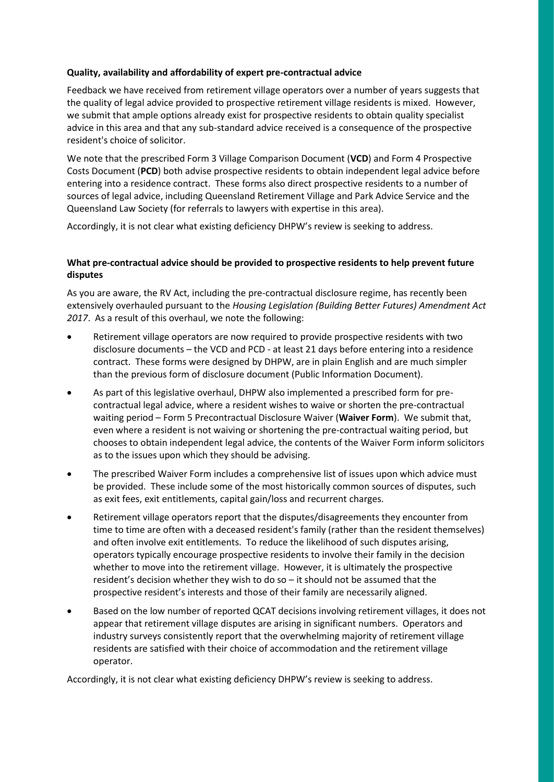### **Quality, availability and affordability of expert pre-contractual advice**

Feedback we have received from retirement village operators over a number of years suggests that the quality of legal advice provided to prospective retirement village residents is mixed. However, we submit that ample options already exist for prospective residents to obtain quality specialist advice in this area and that any sub-standard advice received is a consequence of the prospective resident's choice of solicitor.

We note that the prescribed Form 3 Village Comparison Document (**VCD**) and Form 4 Prospective Costs Document (**PCD**) both advise prospective residents to obtain independent legal advice before entering into a residence contract. These forms also direct prospective residents to a number of sources of legal advice, including Queensland Retirement Village and Park Advice Service and the Queensland Law Society (for referrals to lawyers with expertise in this area).

Accordingly, it is not clear what existing deficiency DHPW's review is seeking to address.

# **What pre-contractual advice should be provided to prospective residents to help prevent future disputes**

As you are aware, the RV Act, including the pre-contractual disclosure regime, has recently been extensively overhauled pursuant to the *Housing Legislation (Building Better Futures) Amendment Act 2017*. As a result of this overhaul, we note the following:

- Retirement village operators are now required to provide prospective residents with two disclosure documents – the VCD and PCD - at least 21 days before entering into a residence contract. These forms were designed by DHPW, are in plain English and are much simpler than the previous form of disclosure document (Public Information Document).
- As part of this legislative overhaul, DHPW also implemented a prescribed form for precontractual legal advice, where a resident wishes to waive or shorten the pre-contractual waiting period – Form 5 Precontractual Disclosure Waiver (**Waiver Form**). We submit that, even where a resident is not waiving or shortening the pre-contractual waiting period, but chooses to obtain independent legal advice, the contents of the Waiver Form inform solicitors as to the issues upon which they should be advising.
- The prescribed Waiver Form includes a comprehensive list of issues upon which advice must be provided. These include some of the most historically common sources of disputes, such as exit fees, exit entitlements, capital gain/loss and recurrent charges.
- Retirement village operators report that the disputes/disagreements they encounter from time to time are often with a deceased resident's family (rather than the resident themselves) and often involve exit entitlements. To reduce the likelihood of such disputes arising, operators typically encourage prospective residents to involve their family in the decision whether to move into the retirement village. However, it is ultimately the prospective resident's decision whether they wish to do so – it should not be assumed that the prospective resident's interests and those of their family are necessarily aligned.
- Based on the low number of reported QCAT decisions involving retirement villages, it does not appear that retirement village disputes are arising in significant numbers. Operators and industry surveys consistently report that the overwhelming majority of retirement village residents are satisfied with their choice of accommodation and the retirement village operator.

Accordingly, it is not clear what existing deficiency DHPW's review is seeking to address.